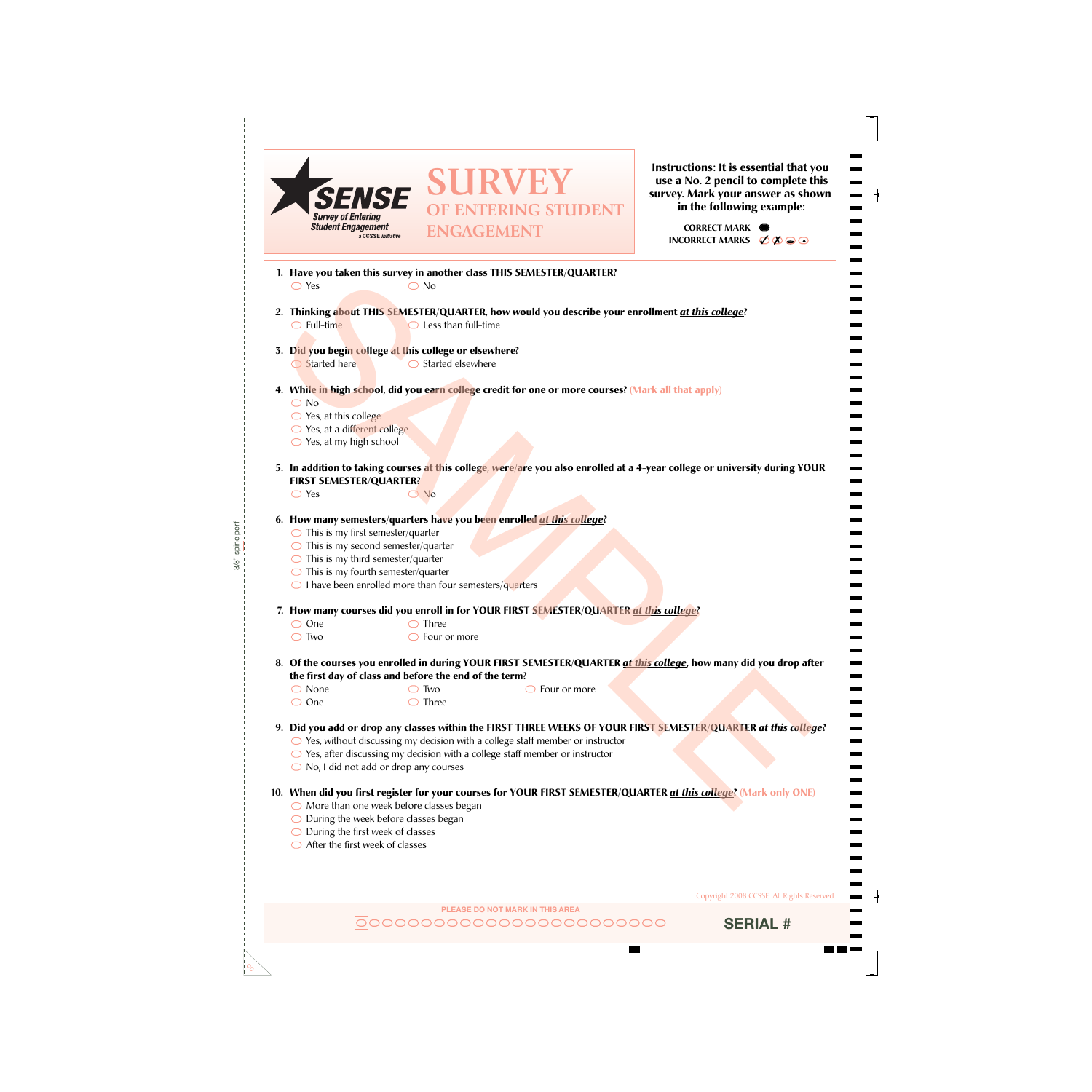

**Instructions: It is essential that you use a No. 2 pencil to complete this survey. Mark your answer as shown in the following example:**

> **INCORRECT MARKS <del>○ <u></u> </u> <b>**  $\bullet$   $\bullet$ </del> **CORRECT MARK**

- **1. Have you taken this survey in another class THIS SEMESTER/QUARTER?**  $\bigcirc$  Yes  $\bigcirc$  No
- $\bigcirc$  Full-time  $\bigcirc$  Less than full-time **2. Thinking about THIS SEMESTER/QUARTER, how would you describe your enrollment** *at this college***?**
- **3. Did you begin college at this college or elsewhere?**  $\bigcirc$  Started elsewhere Started here
- **4. While in high school, did you earn college credit for one or more courses? (Mark all that apply)**
	- O No
	- $\bigcirc$  Yes, at this college
	- Yes, at a different college
	- $\bigcirc$  Yes, at my high school
- **5. In addition to taking courses at this college, were/are you also enrolled at a 4-year college or university during YOUR FIRST SEMESTER/QUARTER?**
	- $\bigcirc$  Yes  $\bigcirc$  No

3/8" spine perf

- **6. How many semesters/quarters have you been enrolled** *at this college***?** 
	- $\bigcirc$  This is my first semester/quarter
	- $\bigcirc$  This is my second semester/quarter
	- $\bigcirc$  This is my third semester/quarter
	- $\bigcirc$  This is my fourth semester/quarter
	- $\bigcirc$  I have been enrolled more than four semesters/quarters

◯ Two

- **7. How many courses did you enroll in for YOUR FIRST SEMESTER/QUARTER** *at this college***?**
	-
	- One Three  $\bigcirc$  Four or more
- **8. Of the courses you enrolled in during YOUR FIRST SEMESTER/QUARTER** *at this college***, how many did you drop after the first day of class and before the end of the term?** Finding about THIS SENTER (NAMER)<br>
SAMPLE THE CHANNER CONTRACTION OF THE CHANNER CONTRACT CONTRACT CONTRACT CONTRACT CONTRACT CONTRACT CONTRACT CONTRACT CONTRACT CONTRACT CONTRACT CONTRACT CONTRACT CONTRACT CONTRACT CONTR
	- None
- $\bigcirc$  Four or more
- One Three
- 
- **9. Did you add or drop any classes within the FIRST THREE WEEKS OF YOUR FIRST SEMESTER/QUARTER** *at this college***?**
	- ◯ Yes, without discussing my decision with a college staff member or instructor
	- $\bigcirc$  Yes, after discussing my decision with a college staff member or instructor
	- No, I did not add or drop any courses
- **10. When did you first register for your courses for YOUR FIRST SEMESTER/QUARTER** *at this college***? (Mark only ONE)**
	- $\bigcirc$  More than one week before classes began
	- $\bigcirc$  During the week before classes began
	- $\bigcirc$  During the first week of classes
	- $\bigcirc$  After the first week of classes

 $c^{\circ}_{\mathcal{O}}$ 

Copyright 2008 CCSSE. All Rights Reserved.

**PLEASE DO NOT MARK IN THIS AREA** |0|00000000000000000000000

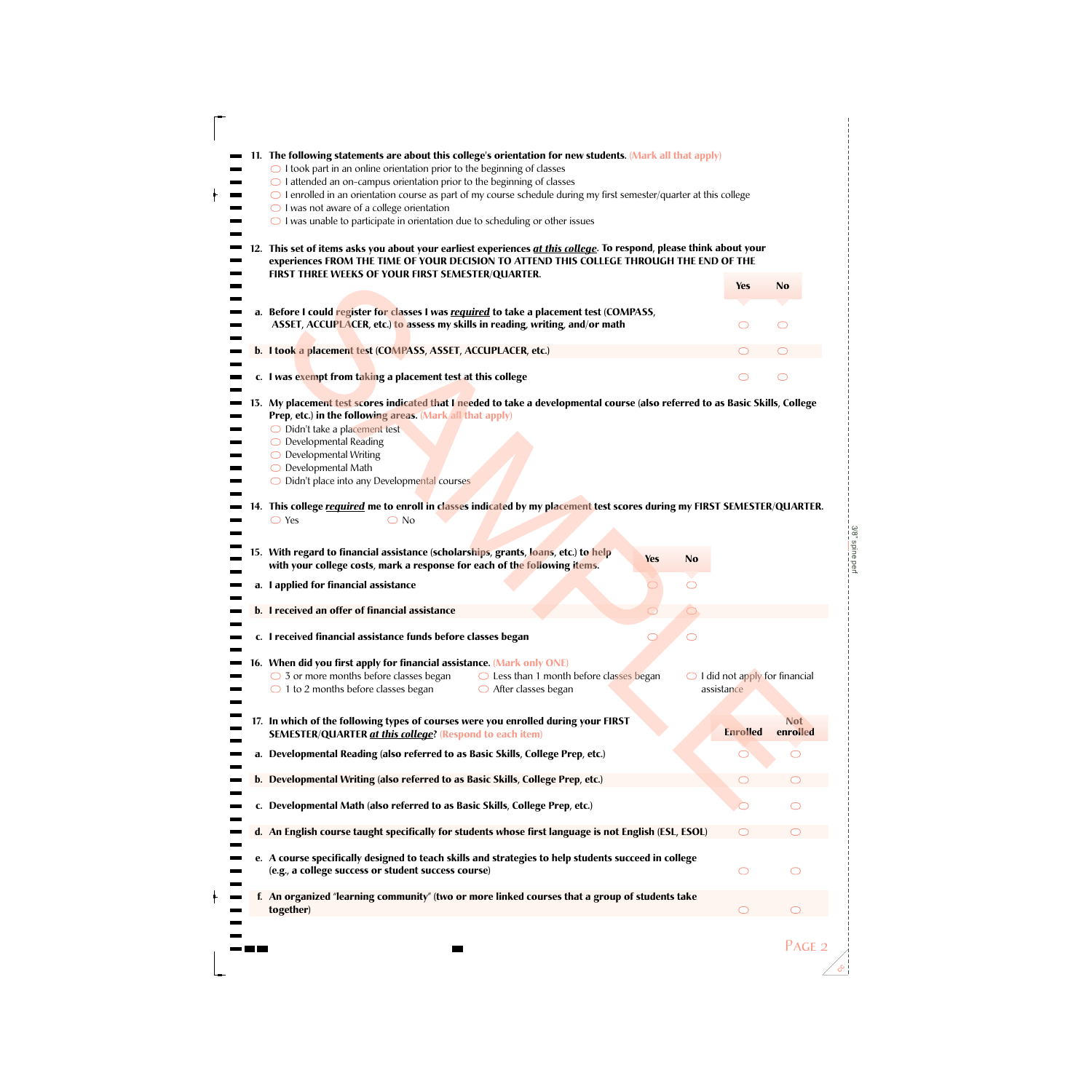|     | 11. The following statements are about this college's orientation for new students. (Mark all that apply)                                                                                                         |                                                        |            |
|-----|-------------------------------------------------------------------------------------------------------------------------------------------------------------------------------------------------------------------|--------------------------------------------------------|------------|
|     |                                                                                                                                                                                                                   |                                                        |            |
|     | $\bigcirc$ I took part in an online orientation prior to the beginning of classes                                                                                                                                 |                                                        |            |
|     | $\bigcirc$ I attended an on-campus orientation prior to the beginning of classes<br>$\bigcirc$ I enrolled in an orientation course as part of my course schedule during my first semester/quarter at this college |                                                        |            |
|     | $\bigcirc$ I was not aware of a college orientation                                                                                                                                                               |                                                        |            |
|     | $\bigcirc$ I was unable to participate in orientation due to scheduling or other issues                                                                                                                           |                                                        |            |
|     |                                                                                                                                                                                                                   |                                                        |            |
| 12. | This set of items asks you about your earliest experiences at this college. To respond, please think about your                                                                                                   |                                                        |            |
|     | experiences FROM THE TIME OF YOUR DECISION TO ATTEND THIS COLLEGE THROUGH THE END OF THE<br>FIRST THREE WEEKS OF YOUR FIRST SEMESTER/QUARTER.                                                                     |                                                        |            |
|     |                                                                                                                                                                                                                   | <b>Yes</b>                                             | <b>No</b>  |
|     |                                                                                                                                                                                                                   |                                                        |            |
|     | a. Before I could register for classes I was required to take a placement test (COMPASS,                                                                                                                          |                                                        |            |
|     | ASSET, ACCUPLACER, etc.) to assess my skills in reading, writing, and/or math                                                                                                                                     |                                                        | ∩          |
|     | b. I took a placement test (COMPASS, ASSET, ACCUPLACER, etc.)                                                                                                                                                     |                                                        |            |
|     |                                                                                                                                                                                                                   |                                                        |            |
|     | c. I was exempt from taking a placement test at this college                                                                                                                                                      |                                                        | ⌒          |
|     |                                                                                                                                                                                                                   |                                                        |            |
|     | 13. My placement test scores indicated that I needed to take a developmental course (also referred to as Basic Skills, College<br>Prep, etc.) in the following areas. (Mark all that apply)                       |                                                        |            |
|     | O Didn't take a placement test                                                                                                                                                                                    |                                                        |            |
|     | O Developmental Reading                                                                                                                                                                                           |                                                        |            |
|     | $\bigcirc$ Developmental Writing                                                                                                                                                                                  |                                                        |            |
|     | $\bigcirc$ Developmental Math<br>O Didn't place into any Developmental courses                                                                                                                                    |                                                        |            |
|     |                                                                                                                                                                                                                   |                                                        |            |
|     | 14. This college required me to enroll in classes indicated by my placement test scores during my FIRST SEMESTER/QUARTER.                                                                                         |                                                        |            |
|     | $\bigcirc$ Yes<br>$\bigcirc$ No                                                                                                                                                                                   |                                                        |            |
|     |                                                                                                                                                                                                                   |                                                        |            |
|     | 15. With regard to financial assistance (scholarships, grants, loans, etc.) to help<br><b>Yes</b><br><b>No</b>                                                                                                    |                                                        |            |
|     | with your college costs, mark a response for each of the following items.                                                                                                                                         |                                                        |            |
|     |                                                                                                                                                                                                                   |                                                        |            |
|     | a. I applied for financial assistance                                                                                                                                                                             |                                                        |            |
|     |                                                                                                                                                                                                                   |                                                        |            |
|     | b. I received an offer of financial assistance                                                                                                                                                                    |                                                        |            |
|     | c. I received financial assistance funds before classes began                                                                                                                                                     |                                                        |            |
|     |                                                                                                                                                                                                                   |                                                        |            |
|     | 16. When did you first apply for financial assistance. (Mark only ONE)                                                                                                                                            |                                                        |            |
|     | $\bigcirc$ 3 or more months before classes began<br>$\bigcirc$ Less than 1 month before classes began<br>$\bigcirc$ 1 to 2 months before classes began<br>$\bigcirc$ After classes began                          | $\bigcirc$ I did not apply for financial<br>assistance |            |
|     |                                                                                                                                                                                                                   |                                                        |            |
|     | 17. In which of the following types of courses were you enrolled during your FIRST                                                                                                                                |                                                        | <b>Not</b> |
|     | <b>SEMESTER/QUARTER at this college? (Respond to each item)</b>                                                                                                                                                   | <b>Enrolled</b>                                        | enrolled   |
|     | a. Developmental Reading (also referred to as Basic Skills, College Prep, etc.)                                                                                                                                   |                                                        |            |
|     |                                                                                                                                                                                                                   |                                                        |            |
|     | b. Developmental Writing (also referred to as Basic Skills, College Prep, etc.)                                                                                                                                   |                                                        |            |
|     |                                                                                                                                                                                                                   |                                                        |            |
|     | c. Developmental Math (also referred to as Basic Skills, College Prep, etc.)                                                                                                                                      |                                                        |            |
|     | d. An English course taught specifically for students whose first language is not English (ESL, ESOL)                                                                                                             |                                                        |            |
|     |                                                                                                                                                                                                                   |                                                        |            |
|     | e. A course specifically designed to teach skills and strategies to help students succeed in college                                                                                                              |                                                        |            |
|     | (e.g., a college success or student success course)                                                                                                                                                               |                                                        |            |
|     | f. An organized "learning community" (two or more linked courses that a group of students take                                                                                                                    |                                                        |            |
|     | together)                                                                                                                                                                                                         | ◯                                                      | ◯          |

T

**CC**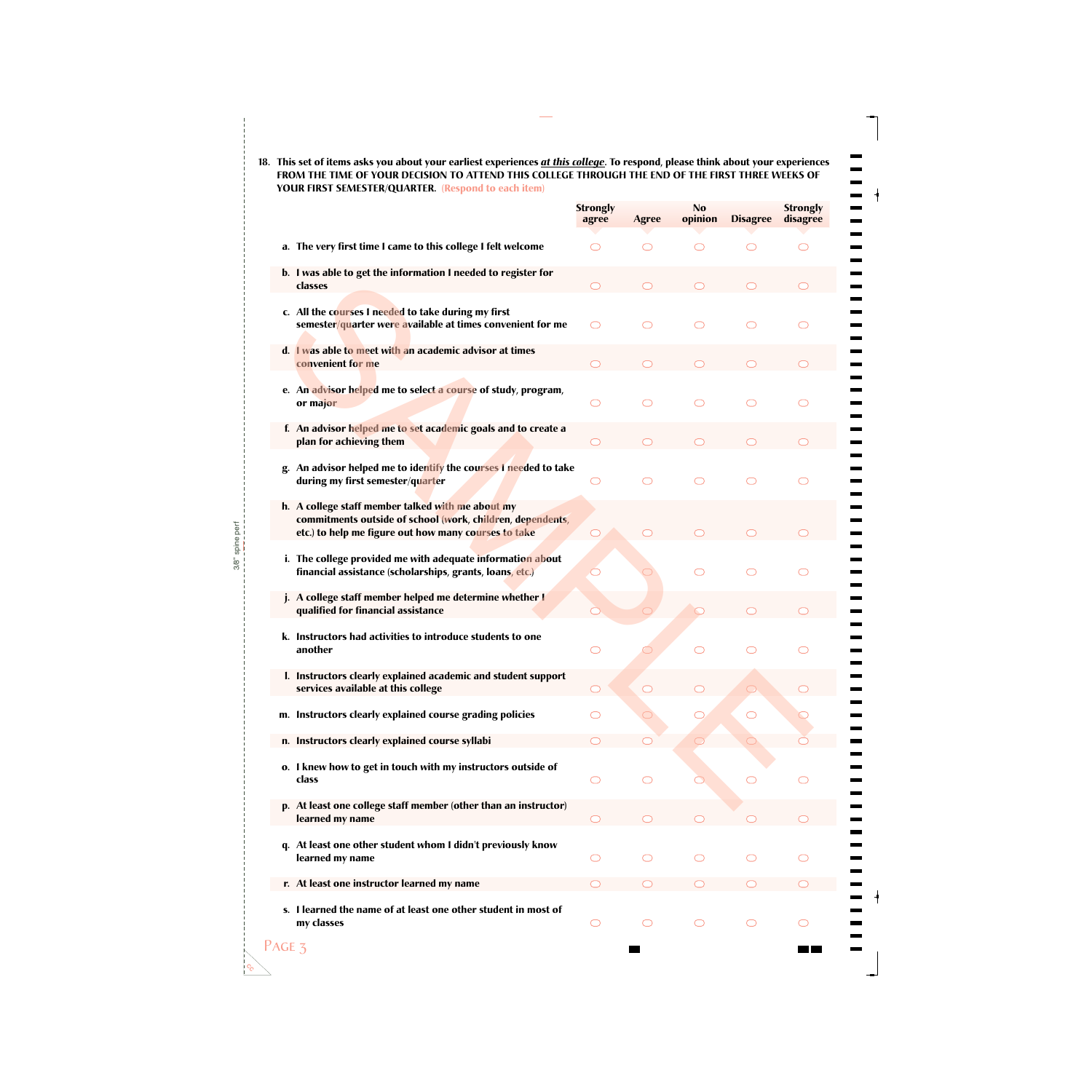**18. This set of items asks you about your earliest experiences** *at this college***. To respond, please think about your experiences FROM THE TIME OF YOUR DECISION TO ATTEND THIS COLLEGE THROUGH THE END OF THE FIRST THREE WEEKS OF YOUR FIRST SEMESTER/QUARTER. (Respond to each item)**

 $\blacksquare$ 

—<br>—<br>—<br>—

 $\equiv$ <br> $\equiv$ 

 $\overline{\phantom{0}}$  $\equiv$ 

 $\overline{\phantom{0}}$ 

Ξ.

÷  $\blacksquare$ 

Ξ, —

------<br>-----

----------<br>---------

|                                                                                                                                                                         | <b>Strongly</b><br>agree | <b>Agree</b>        | N <sub>0</sub><br>opinion | <b>Disagree</b> | <b>Strongly</b><br>disagree |
|-------------------------------------------------------------------------------------------------------------------------------------------------------------------------|--------------------------|---------------------|---------------------------|-----------------|-----------------------------|
| a. The very first time I came to this college I felt welcome                                                                                                            | ◯                        | ◯                   | ⌒                         | ⌒               | ◯                           |
|                                                                                                                                                                         |                          |                     |                           |                 |                             |
| b. I was able to get the information I needed to register for<br>classes                                                                                                |                          |                     |                           |                 |                             |
| c. All the courses I needed to take during my first<br>semester/quarter were available at times convenient for me                                                       | ◯                        |                     | ◯                         | ⌒               | ⌒                           |
| d. I was able to meet with an academic advisor at times<br>convenient for me                                                                                            |                          |                     |                           |                 |                             |
| e. An advisor helped me to select a course of study, program,<br>or major                                                                                               | ◯                        | ◯                   | ◯                         | ⌒               | ⌒                           |
| f. An advisor helped me to set academic goals and to create a<br>plan for achieving them                                                                                |                          |                     |                           |                 |                             |
| An advisor helped me to identify the courses I needed to take<br>g.<br>during my first semester/quarter                                                                 | ◯                        | ◯                   | ◯                         | ⌒               | ⌒                           |
| h. A college staff member talked with me about my<br>commitments outside of school (work, children, dependents,<br>etc.) to help me figure out how many courses to take |                          |                     |                           |                 |                             |
| i. The college provided me with adequate information about<br>financial assistance (scholarships, grants, loans, etc.)                                                  |                          |                     |                           | ⌒               | ⌒                           |
| j. A college staff member helped me determine whether I<br>qualified for financial assistance                                                                           |                          |                     |                           |                 |                             |
| k. Instructors had activities to introduce students to one<br>another                                                                                                   | ◯                        |                     | ⌒                         | ⌒               | ⌒                           |
| I. Instructors clearly explained academic and student support<br>services available at this college                                                                     |                          |                     |                           |                 |                             |
| m. Instructors clearly explained course grading policies                                                                                                                | ⌒                        |                     |                           | ◯               |                             |
| n. Instructors clearly explained course syllabi                                                                                                                         |                          |                     |                           |                 |                             |
| o. I knew how to get in touch with my instructors outside of<br>class                                                                                                   | ◯                        | ◯                   |                           |                 | ⌒                           |
| p. At least one college staff member (other than an instructor)<br>learned my name                                                                                      | ◯                        |                     |                           |                 |                             |
| At least one other student whom I didn't previously know<br>learned my name                                                                                             | O                        | ◯                   | ◯                         |                 | ⌒                           |
| r. At least one instructor learned my name                                                                                                                              |                          |                     |                           |                 |                             |
| s. I learned the name of at least one other student in most of<br>my classes                                                                                            | O                        | $\circlearrowright$ | $\circlearrowright$       | O               | $\circlearrowright$         |

 $c^{\circ}_{\mathcal{O}}$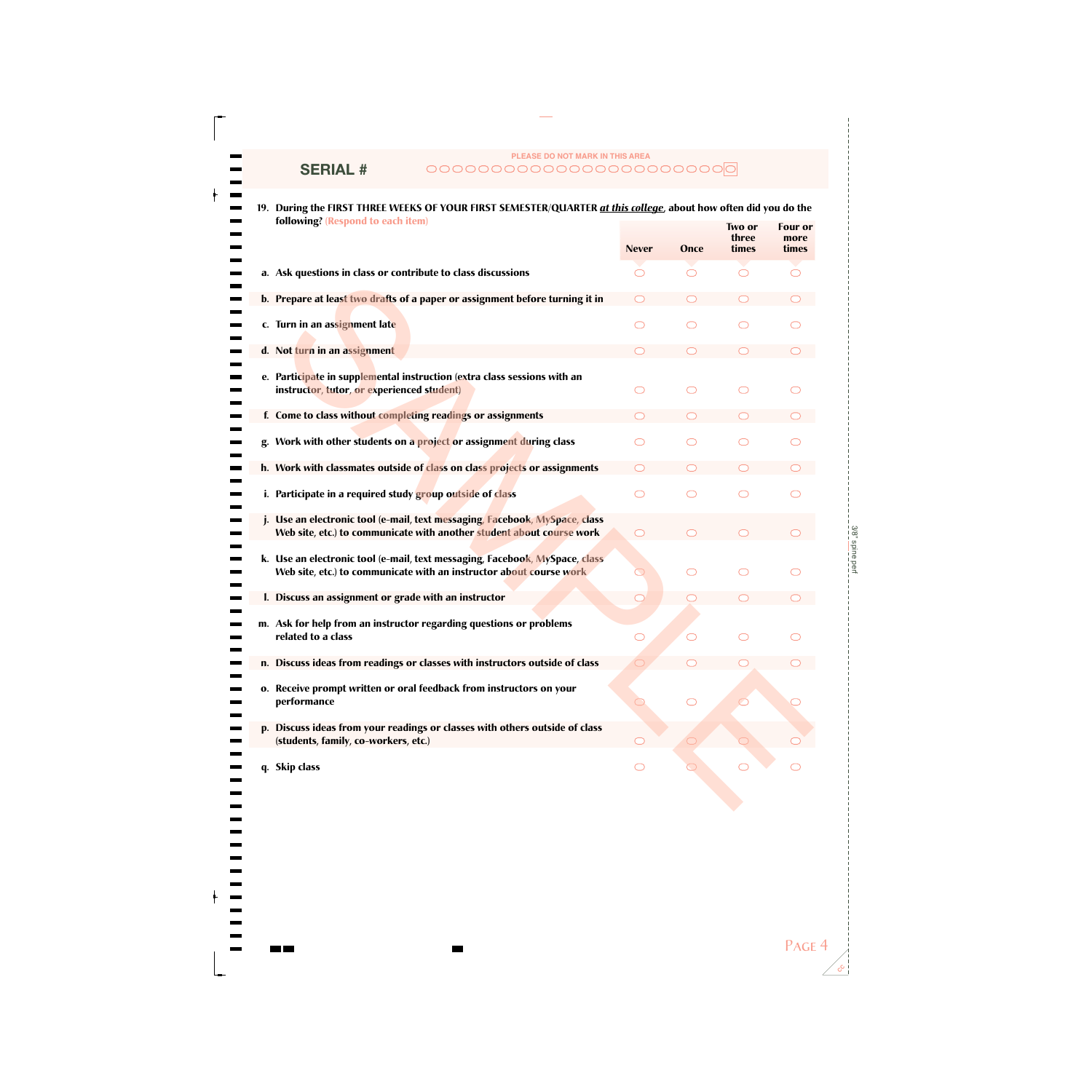# **SERIAL #**

----------<br>--------

-------------<br>-----------

## **PLEASE DO NOT MARK IN THIS AREA**

**19. During the FIRST THREE WEEKS OF YOUR FIRST SEMESTER/QUARTER** *at this college***, about how often did you do the following? (Respond to each item) Two or Four or**

|                                                                                                                                                    | <b>Never</b> | Once | three<br>times | more<br>times |
|----------------------------------------------------------------------------------------------------------------------------------------------------|--------------|------|----------------|---------------|
| a. Ask questions in class or contribute to class discussions                                                                                       |              |      |                |               |
| b. Prepare at least two drafts of a paper or assignment before turning it in                                                                       |              |      |                |               |
| c. Turn in an assignment late                                                                                                                      |              |      |                |               |
| d. Not turn in an assignment                                                                                                                       |              |      |                |               |
| e. Participate in supplemental instruction (extra class sessions with an<br>instructor, tutor, or experienced student)                             |              |      |                |               |
| f. Come to class without completing readings or assignments                                                                                        |              |      |                |               |
| Work with other students on a project or assignment during class                                                                                   |              |      |                |               |
| h. Work with classmates outside of class on class projects or assignments                                                                          |              |      |                |               |
| i. Participate in a required study group outside of class                                                                                          |              |      |                |               |
| Use an electronic tool (e-mail, text messaging, Facebook, MySpace, class<br>Web site, etc.) to communicate with another student about course work  |              |      |                |               |
| k. Use an electronic tool (e-mail, text messaging, Facebook, MySpace, class<br>Web site, etc.) to communicate with an instructor about course work | ⊃            |      |                |               |
| I. Discuss an assignment or grade with an instructor                                                                                               | ◯            |      |                |               |
| m. Ask for help from an instructor regarding questions or problems<br>related to a class                                                           |              |      |                |               |
| n. Discuss ideas from readings or classes with instructors outside of class                                                                        |              |      |                |               |
| o. Receive prompt written or oral feedback from instructors on your<br>performance                                                                 |              |      |                |               |
| p. Discuss ideas from your readings or classes with others outside of class<br>(students, family, co-workers, etc.)                                |              |      |                |               |
| <b>Skip class</b><br>q.                                                                                                                            |              |      |                |               |
|                                                                                                                                                    |              |      |                |               |

**CC**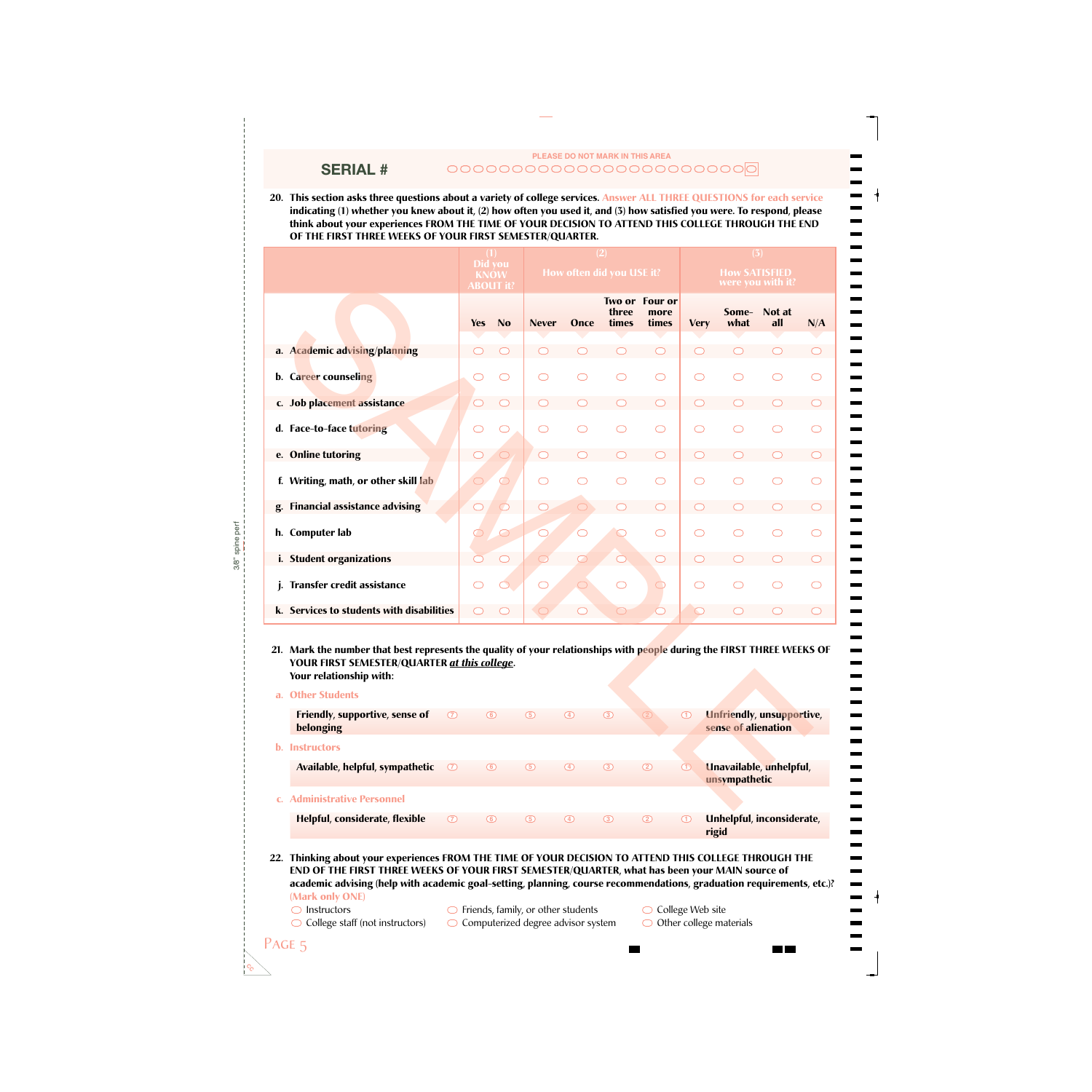### **PLEASE DO NOT MARK IN THIS AREA** 000000000000000000000000

**20. This section asks three questions about a variety of college services. Answer ALL THREE QUESTIONS for each service indicating (1) whether you knew about it, (2) how often you used it, and (3) how satisfied you were. To respond, please think about your experiences FROM THE TIME OF YOUR DECISION TO ATTEND THIS COLLEGE THROUGH THE END OF THE FIRST THREE WEEKS OF YOUR FIRST SEMESTER/QUARTER.**

|    |                                                                                                                                                                                                   | Did vou<br><b>KNOW</b> | <b>ABOUT it?</b>    |                     |                     | (2)<br>How often did you USE it? |                                 |             | (3)<br><b>How SATISFIED</b> | were you with it?                |     |
|----|---------------------------------------------------------------------------------------------------------------------------------------------------------------------------------------------------|------------------------|---------------------|---------------------|---------------------|----------------------------------|---------------------------------|-------------|-----------------------------|----------------------------------|-----|
|    |                                                                                                                                                                                                   | <b>Yes</b>             | No                  | <b>Never</b>        | Once                | three<br>times                   | Two or Four or<br>more<br>times | <b>Very</b> | Some-<br>what               | Not at<br>all                    | N/A |
|    | a. Academic advising/planning                                                                                                                                                                     |                        |                     |                     |                     |                                  | ◯                               |             |                             |                                  |     |
|    | b. Career counseling                                                                                                                                                                              |                        |                     | ⌒                   |                     | ◯                                | ◯                               | ◯           | ⌒                           | ⌒                                |     |
|    | c. Job placement assistance                                                                                                                                                                       |                        |                     |                     |                     |                                  |                                 |             |                             |                                  |     |
|    | d. Face-to-face tutoring                                                                                                                                                                          |                        |                     |                     |                     |                                  | $\bigcirc$                      |             |                             |                                  |     |
|    | e. Online tutoring                                                                                                                                                                                |                        |                     |                     |                     |                                  |                                 |             |                             |                                  |     |
|    | f. Writing, math, or other skill lab                                                                                                                                                              |                        | $\circlearrowright$ | $\bigcirc$          |                     |                                  | $\bigcirc$                      |             |                             |                                  |     |
| g. | <b>Financial assistance advising</b>                                                                                                                                                              | O                      |                     |                     | $\bigcirc$          |                                  |                                 |             |                             |                                  |     |
|    | h. Computer lab                                                                                                                                                                                   | $\circlearrowright$    |                     |                     |                     |                                  | $\bigcirc$                      |             |                             |                                  |     |
|    | i. Student organizations                                                                                                                                                                          |                        |                     | ◯                   | $\circlearrowright$ | $\bigcirc$                       | $\circlearrowright$             |             |                             |                                  |     |
| j. | Transfer credit assistance                                                                                                                                                                        |                        |                     | $\circlearrowright$ | $\bigcirc$          | $\bigcirc$                       | $\bigcirc$                      | ◯           |                             |                                  |     |
|    | k. Services to students with disabilities                                                                                                                                                         |                        |                     |                     | ⌒                   | $\circlearrowright$              | ◯                               |             |                             |                                  |     |
|    | 21. Mark the number that best represents the quality of your relationships with people during the FIRST THREE WEEKS OF<br>YOUR FIRST SEMESTER/QUARTER at this college.<br>Your relationship with: |                        |                     |                     |                     |                                  |                                 |             |                             |                                  |     |
|    | a. Other Students                                                                                                                                                                                 |                        |                     |                     |                     |                                  |                                 |             |                             |                                  |     |
|    | Friendly, supportive, sense of<br>$\circledcirc$<br>belonging                                                                                                                                     | $\circledcirc$         |                     | $\circledcirc$      | $\circledcirc$      | $\circled{3}$                    | $\circled{2}$                   | $\bigcirc$  | sense of alienation         | <b>Unfriendly, unsupportive,</b> |     |
|    | <b>b.</b> Instructors                                                                                                                                                                             |                        |                     |                     |                     |                                  |                                 |             |                             |                                  |     |
|    | Available, helpful, sympathetic<br>$\circledcirc$                                                                                                                                                 | $\circledcirc$         |                     | $\circledcirc$      | $\circledcirc$      | $\circled{3}$                    | $^{\circledR}$                  | $\bigcirc$  | unsympathetic               | Unavailable, unhelpful,          |     |
|    | c. Administrative Personnel                                                                                                                                                                       |                        |                     |                     |                     |                                  |                                 |             |                             |                                  |     |

#### **21. Mark the number that best represents the quality of your relationships with people during the FIRST THREE WEEKS OF YOUR FIRST SEMESTER/QUARTER** *at this college***. Your relationship with:**

| <b>Other Students</b>           |               |         |            |                   |         |               |               |                                                         |
|---------------------------------|---------------|---------|------------|-------------------|---------|---------------|---------------|---------------------------------------------------------|
| Friendly, supportive, sense of  | $\circ$       | $\circ$ | $\circ$    | $\circ$           | $\circ$ | (2)           | $\circ$       | <b>Unfriendly, unsupportive,</b><br>sense of alienation |
| belonging                       |               |         |            |                   |         |               |               |                                                         |
| <b>b.</b> Instructors           |               |         |            |                   |         |               |               |                                                         |
| Available, helpful, sympathetic | $\circ$       | $\circ$ | $\circled$ | $\left(4\right)$  | $\circ$ | $\circled{2}$ | $\circled{1}$ | Unavailable, unhelpful,                                 |
|                                 |               |         |            |                   |         |               |               | unsympathetic                                           |
| <b>Administrative Personnel</b> |               |         |            |                   |         |               |               |                                                         |
| Helpful, considerate, flexible  | $\circled{2}$ | ര       | (5)        | $\left( 4\right)$ | $\circ$ | $\circ$       | (1)           | Unhelpful, inconsiderate,<br>rigid                      |

#### **22. Thinking about your experiences FROM THE TIME OF YOUR DECISION TO ATTEND THIS COLLEGE THROUGH THE END OF THE FIRST THREE WEEKS OF YOUR FIRST SEMESTER/QUARTER, what has been your MAIN source of academic advising (help with academic goal-setting, planning, course recommendations, graduation requirements, etc.)? (Mark only ONE)**

 $\bigcirc$  Instructors

- $\bigcirc$  Friends, family, or other students
- $\bigcirc$  College staff (not instructors)

**SERIAL #**

- $\bigcirc$  Computerized degree advisor system
- $\bigcirc$  College Web site
	- $\bigcirc$  Other college materials

 $\frac{1}{1}$  =  $\frac{1}{1}$  =  $\frac{1}{1}$ 

3/8" spine perf spine per  $3/8$ "

 $c^{\circ}_{\mathcal{O}}$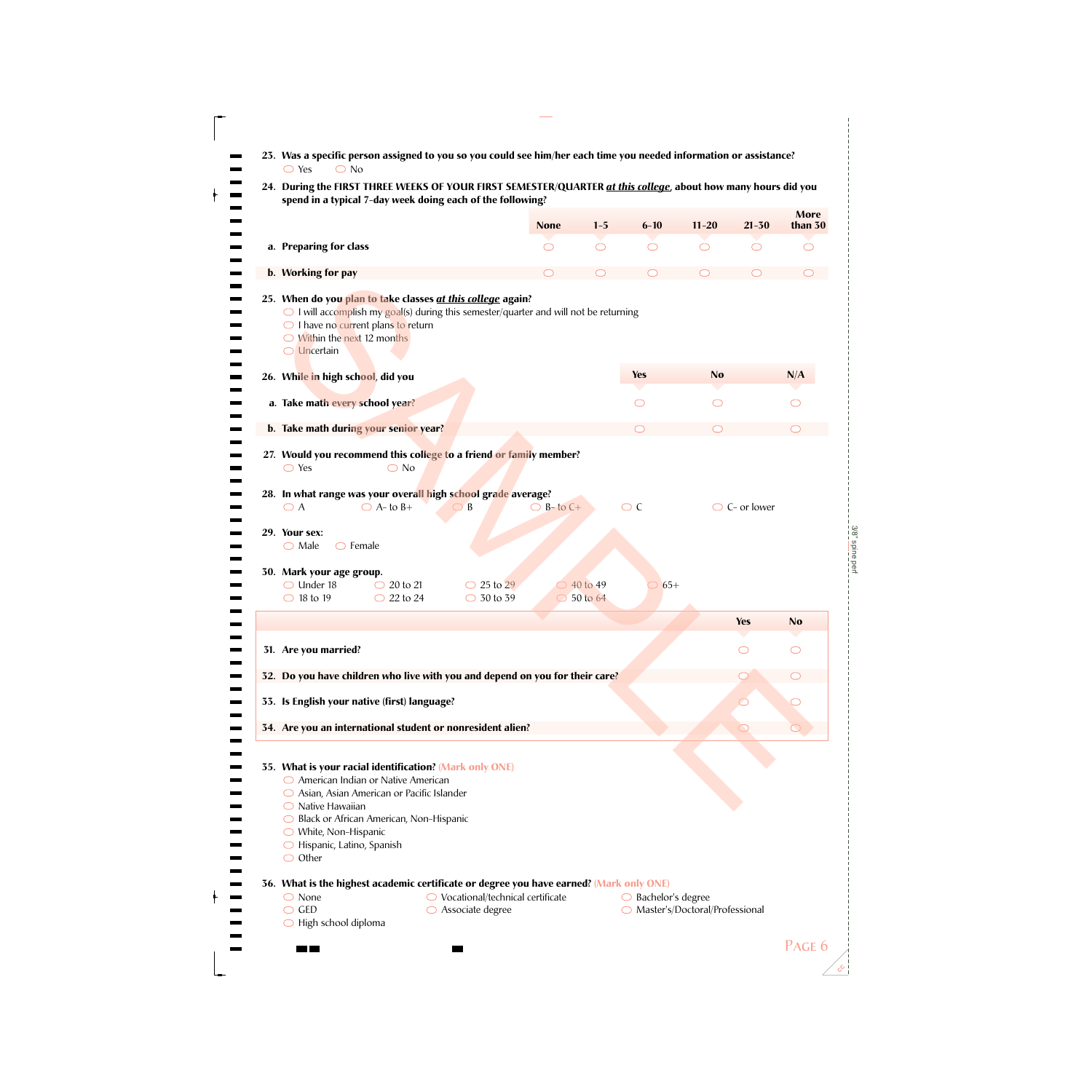| $6 - 10$<br><b>None</b><br>$1 - 5$<br>$11 - 20$<br>$21 - 30$<br>a. Preparing for class<br>$\circ$<br>$\bigcirc$<br>$\bigcirc$<br>$\bigcirc$<br>$\circlearrowright$<br>b. Working for pay<br>25. When do you plan to take classes at this college again?<br>$\bigcirc$ I will accomplish my goal(s) during this semester/quarter and will not be returning<br>$\bigcirc$ I have no current plans to return<br>$\bigcirc$ Within the next 12 months<br>$\bigcirc$ Uncertain<br><b>Yes</b><br><b>No</b><br>26. While in high school, did you<br>a. Take math every school year?<br>$\bigcirc$<br>O<br>b. Take math during your senior year?<br>27. Would you recommend this college to a friend or family member?<br>$\bigcirc$ Yes<br>$\bigcirc$ No<br>28. In what range was your overall high school grade average?<br>$\bigcirc$ C<br>$\bigcirc$ B-to C+<br>$\bigcirc$ C- or lower<br>$\bigcirc$ A<br>$\bigcirc$ A- to B+<br>$\bigcirc$ B<br>29. Your sex:<br>$\bigcirc$ Male<br>$\bigcirc$ Female<br>30. Mark your age group.<br>$\bigcirc$ Under 18<br>$\bigcirc$ 20 to 21<br>$65+$<br>$\bigcirc$ 25 to 29<br>40 to 49<br>$\bigcirc$ 30 to 39<br>$\bigcirc$ 18 to 19<br>$\bigcirc$ 22 to 24<br>$\bigcirc$ 50 to 64<br><b>Yes</b><br>31. Are you married?<br>⌒<br>32. Do you have children who live with you and depend on you for their care?<br>33. Is English your native (first) language?<br>34. Are you an international student or nonresident alien?<br>$\circlearrowright$<br>35. What is your racial identification? (Mark only ONE)<br>○ American Indian or Native American<br>$\bigcirc$ Asian, Asian American or Pacific Islander<br>$\bigcirc$ Native Hawaiian<br>◯ Black or African American, Non-Hispanic<br>$\bigcirc$ White, Non-Hispanic<br>$\bigcirc$ Hispanic, Latino, Spanish<br>$\bigcirc$ Other<br>36. What is the highest academic certificate or degree you have earned? (Mark only ONE)<br>$\bigcirc$ None<br>$\bigcirc$ Vocational/technical certificate<br>$\bigcirc$ Bachelor's degree | spend in a typical 7-day week doing each of the following? |  |  | More      |
|-----------------------------------------------------------------------------------------------------------------------------------------------------------------------------------------------------------------------------------------------------------------------------------------------------------------------------------------------------------------------------------------------------------------------------------------------------------------------------------------------------------------------------------------------------------------------------------------------------------------------------------------------------------------------------------------------------------------------------------------------------------------------------------------------------------------------------------------------------------------------------------------------------------------------------------------------------------------------------------------------------------------------------------------------------------------------------------------------------------------------------------------------------------------------------------------------------------------------------------------------------------------------------------------------------------------------------------------------------------------------------------------------------------------------------------------------------------------------------------------------------------------------------------------------------------------------------------------------------------------------------------------------------------------------------------------------------------------------------------------------------------------------------------------------------------------------------------------------------------------------------------------------------------------------------------------------------------------------------------------------------------------------|------------------------------------------------------------|--|--|-----------|
|                                                                                                                                                                                                                                                                                                                                                                                                                                                                                                                                                                                                                                                                                                                                                                                                                                                                                                                                                                                                                                                                                                                                                                                                                                                                                                                                                                                                                                                                                                                                                                                                                                                                                                                                                                                                                                                                                                                                                                                                                       |                                                            |  |  | than 30   |
|                                                                                                                                                                                                                                                                                                                                                                                                                                                                                                                                                                                                                                                                                                                                                                                                                                                                                                                                                                                                                                                                                                                                                                                                                                                                                                                                                                                                                                                                                                                                                                                                                                                                                                                                                                                                                                                                                                                                                                                                                       |                                                            |  |  | ◯         |
|                                                                                                                                                                                                                                                                                                                                                                                                                                                                                                                                                                                                                                                                                                                                                                                                                                                                                                                                                                                                                                                                                                                                                                                                                                                                                                                                                                                                                                                                                                                                                                                                                                                                                                                                                                                                                                                                                                                                                                                                                       |                                                            |  |  |           |
|                                                                                                                                                                                                                                                                                                                                                                                                                                                                                                                                                                                                                                                                                                                                                                                                                                                                                                                                                                                                                                                                                                                                                                                                                                                                                                                                                                                                                                                                                                                                                                                                                                                                                                                                                                                                                                                                                                                                                                                                                       |                                                            |  |  |           |
|                                                                                                                                                                                                                                                                                                                                                                                                                                                                                                                                                                                                                                                                                                                                                                                                                                                                                                                                                                                                                                                                                                                                                                                                                                                                                                                                                                                                                                                                                                                                                                                                                                                                                                                                                                                                                                                                                                                                                                                                                       |                                                            |  |  | N/A       |
|                                                                                                                                                                                                                                                                                                                                                                                                                                                                                                                                                                                                                                                                                                                                                                                                                                                                                                                                                                                                                                                                                                                                                                                                                                                                                                                                                                                                                                                                                                                                                                                                                                                                                                                                                                                                                                                                                                                                                                                                                       |                                                            |  |  |           |
|                                                                                                                                                                                                                                                                                                                                                                                                                                                                                                                                                                                                                                                                                                                                                                                                                                                                                                                                                                                                                                                                                                                                                                                                                                                                                                                                                                                                                                                                                                                                                                                                                                                                                                                                                                                                                                                                                                                                                                                                                       |                                                            |  |  |           |
|                                                                                                                                                                                                                                                                                                                                                                                                                                                                                                                                                                                                                                                                                                                                                                                                                                                                                                                                                                                                                                                                                                                                                                                                                                                                                                                                                                                                                                                                                                                                                                                                                                                                                                                                                                                                                                                                                                                                                                                                                       |                                                            |  |  |           |
|                                                                                                                                                                                                                                                                                                                                                                                                                                                                                                                                                                                                                                                                                                                                                                                                                                                                                                                                                                                                                                                                                                                                                                                                                                                                                                                                                                                                                                                                                                                                                                                                                                                                                                                                                                                                                                                                                                                                                                                                                       |                                                            |  |  |           |
|                                                                                                                                                                                                                                                                                                                                                                                                                                                                                                                                                                                                                                                                                                                                                                                                                                                                                                                                                                                                                                                                                                                                                                                                                                                                                                                                                                                                                                                                                                                                                                                                                                                                                                                                                                                                                                                                                                                                                                                                                       |                                                            |  |  |           |
|                                                                                                                                                                                                                                                                                                                                                                                                                                                                                                                                                                                                                                                                                                                                                                                                                                                                                                                                                                                                                                                                                                                                                                                                                                                                                                                                                                                                                                                                                                                                                                                                                                                                                                                                                                                                                                                                                                                                                                                                                       |                                                            |  |  |           |
|                                                                                                                                                                                                                                                                                                                                                                                                                                                                                                                                                                                                                                                                                                                                                                                                                                                                                                                                                                                                                                                                                                                                                                                                                                                                                                                                                                                                                                                                                                                                                                                                                                                                                                                                                                                                                                                                                                                                                                                                                       |                                                            |  |  |           |
|                                                                                                                                                                                                                                                                                                                                                                                                                                                                                                                                                                                                                                                                                                                                                                                                                                                                                                                                                                                                                                                                                                                                                                                                                                                                                                                                                                                                                                                                                                                                                                                                                                                                                                                                                                                                                                                                                                                                                                                                                       |                                                            |  |  |           |
|                                                                                                                                                                                                                                                                                                                                                                                                                                                                                                                                                                                                                                                                                                                                                                                                                                                                                                                                                                                                                                                                                                                                                                                                                                                                                                                                                                                                                                                                                                                                                                                                                                                                                                                                                                                                                                                                                                                                                                                                                       |                                                            |  |  | <b>No</b> |
|                                                                                                                                                                                                                                                                                                                                                                                                                                                                                                                                                                                                                                                                                                                                                                                                                                                                                                                                                                                                                                                                                                                                                                                                                                                                                                                                                                                                                                                                                                                                                                                                                                                                                                                                                                                                                                                                                                                                                                                                                       |                                                            |  |  |           |
|                                                                                                                                                                                                                                                                                                                                                                                                                                                                                                                                                                                                                                                                                                                                                                                                                                                                                                                                                                                                                                                                                                                                                                                                                                                                                                                                                                                                                                                                                                                                                                                                                                                                                                                                                                                                                                                                                                                                                                                                                       |                                                            |  |  |           |
| $\bigcirc$ GED<br>$\bigcirc$ Associate degree<br>○ Master's/Doctoral/Professional<br>$\bigcirc$ High school diploma                                                                                                                                                                                                                                                                                                                                                                                                                                                                                                                                                                                                                                                                                                                                                                                                                                                                                                                                                                                                                                                                                                                                                                                                                                                                                                                                                                                                                                                                                                                                                                                                                                                                                                                                                                                                                                                                                                   |                                                            |  |  |           |

**CC**

3/8" spine perf

3/8" spine perf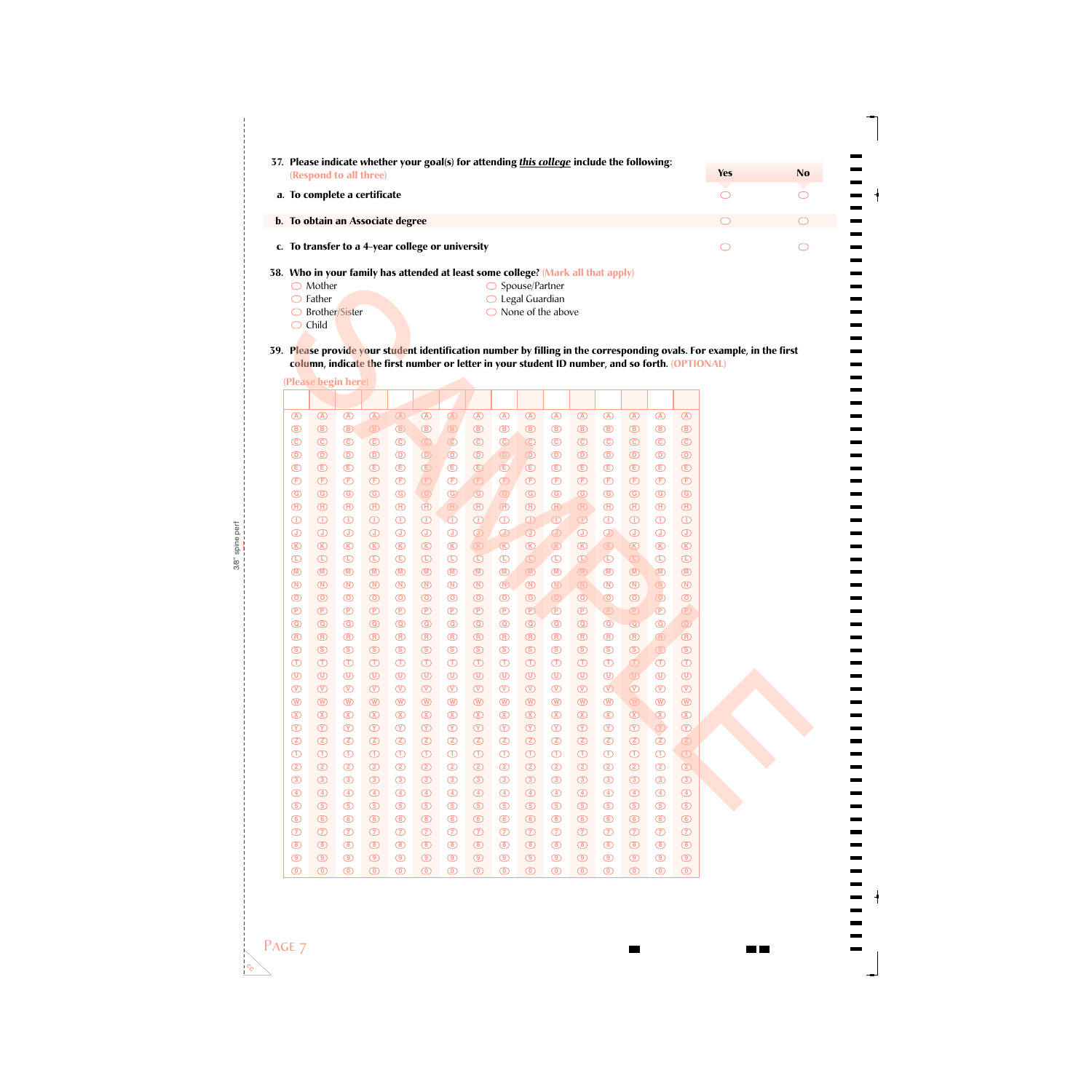|                                                                                  | 37. Please indicate whether your goal(s) for attending this college include the following: |            |    |
|----------------------------------------------------------------------------------|--------------------------------------------------------------------------------------------|------------|----|
| (Respond to all three)                                                           |                                                                                            | <b>Yes</b> | No |
| a. To complete a certificate                                                     |                                                                                            |            |    |
| b. To obtain an Associate degree                                                 |                                                                                            |            |    |
| c. To transfer to a 4-year college or university                                 |                                                                                            |            |    |
| 38. Who in your family has attended at least some college? (Mark all that apply) |                                                                                            |            |    |
| Mother                                                                           | Spouse/Partner                                                                             |            |    |
| Father                                                                           | Legal Guardian                                                                             |            |    |
| Brother/Sister                                                                   | None of the above                                                                          |            |    |

|                            | $\bigcirc$ Mother                |                                  |                                 |                                                                                                                                      |                               |                                  |                               |                               | $\bigcirc$ Spouse/Partner | ranny nas attenueu at reast some coneger (mark an unat appry)                                                                                                                                                                                                                                                                                       |                                  |                                  |                                |                               |                                  |
|----------------------------|----------------------------------|----------------------------------|---------------------------------|--------------------------------------------------------------------------------------------------------------------------------------|-------------------------------|----------------------------------|-------------------------------|-------------------------------|---------------------------|-----------------------------------------------------------------------------------------------------------------------------------------------------------------------------------------------------------------------------------------------------------------------------------------------------------------------------------------------------|----------------------------------|----------------------------------|--------------------------------|-------------------------------|----------------------------------|
| $\circlearrowright$        | Father                           |                                  |                                 |                                                                                                                                      |                               |                                  |                               |                               | Legal Guardian            |                                                                                                                                                                                                                                                                                                                                                     |                                  |                                  |                                |                               |                                  |
| $\bigcirc$                 |                                  | Brother/Sister                   |                                 |                                                                                                                                      |                               |                                  |                               |                               |                           | None of the above                                                                                                                                                                                                                                                                                                                                   |                                  |                                  |                                |                               |                                  |
| $\bigcirc$                 | Child                            |                                  |                                 |                                                                                                                                      |                               |                                  |                               |                               |                           |                                                                                                                                                                                                                                                                                                                                                     |                                  |                                  |                                |                               |                                  |
|                            |                                  |                                  |                                 |                                                                                                                                      |                               |                                  |                               |                               |                           |                                                                                                                                                                                                                                                                                                                                                     |                                  |                                  |                                |                               |                                  |
|                            |                                  |                                  |                                 | ). P <mark>leas</mark> e provide your student identification number by filling in the corresponding ovals. For example, in the first |                               |                                  |                               |                               |                           |                                                                                                                                                                                                                                                                                                                                                     |                                  |                                  |                                |                               |                                  |
|                            |                                  |                                  |                                 | column, indicate the first number or letter in your student ID number, and so forth. (OPTIONAL)                                      |                               |                                  |                               |                               |                           |                                                                                                                                                                                                                                                                                                                                                     |                                  |                                  |                                |                               |                                  |
|                            |                                  | (Please begin here)              |                                 |                                                                                                                                      |                               |                                  |                               |                               |                           |                                                                                                                                                                                                                                                                                                                                                     |                                  |                                  |                                |                               |                                  |
|                            |                                  |                                  |                                 |                                                                                                                                      |                               |                                  |                               |                               |                           |                                                                                                                                                                                                                                                                                                                                                     |                                  |                                  |                                |                               |                                  |
| $\circledA$                | $\circledA$                      | $\circledR$                      | $\circledR$                     | $\circledR$                                                                                                                          | $\circledR$                   | $\bigcirc$                       | $\circledR$                   | $\circledA$                   | $\circledA$               | $\circledA$                                                                                                                                                                                                                                                                                                                                         | $\circledR$                      | $\bigcirc$                       | $\circledR$                    | $\circledA$                   | $\circledA$                      |
| $\circledcirc$             | $\circledcirc$                   | $\bigcirc$                       | $\circledR$                     | $\bigcirc$                                                                                                                           | $^{\circ}$                    | $\circledB$                      | $\circledR$                   | $\circledR$                   | $\circledR$               | $\circledR$                                                                                                                                                                                                                                                                                                                                         | $\circledR$                      | $\circledcirc$                   | $\circledR$                    | $\circledR$                   | $^{\circ}$                       |
| $\odot$                    | $\odot$                          | $\circledcirc$                   | $\odot$                         | $\odot$                                                                                                                              | $\odot$                       | $\circledcirc$                   | $\odot$                       | $\odot$                       | $\circledcirc$            | $\odot$                                                                                                                                                                                                                                                                                                                                             | $\odot$                          | $\odot$                          | $\odot$                        | $\odot$                       | $\odot$                          |
| $\circledcirc$             | $\circledcirc$                   | $^\circledR$                     | $^{\circ}$                      | $^\circledR$                                                                                                                         | $\circledcirc$                | $\circledcirc$                   | $\circledcirc$                | $\circledcirc$                | $\circledcirc$            | $\circledcirc$                                                                                                                                                                                                                                                                                                                                      | $\circledcirc$                   | $\circledcirc$                   | $^\circledR$                   | $\circledcirc$                | $\circledcirc$                   |
| $\bigoplus$                | $\bigoplus$                      | $\circled$                       | $\bigoplus$                     | $\bigoplus$                                                                                                                          | $\bigoplus$                   | $\bigoplus$                      | $\bigcirc$                    | $\bigoplus$                   | $\bigoplus$               | $\bigoplus$                                                                                                                                                                                                                                                                                                                                         | $\bigoplus$                      | $\bigoplus$                      | $^{\circledR}$                 | $\bigoplus$                   | $\bigoplus$                      |
| $\bigoplus$                | $\bigoplus$                      | $\bigoplus$                      | $\bigoplus$                     | $\bigoplus$                                                                                                                          | $\bigoplus$                   | $\bigoplus$                      | $\bigoplus$                   | $\bigoplus$                   | $\bigoplus$               | $\bigoplus$                                                                                                                                                                                                                                                                                                                                         | $\bigoplus$                      | $\bigoplus$                      | $\bigoplus$                    | $\bigoplus$                   | $\bigoplus$                      |
| $\circledcirc$             | $\circledcirc$                   | $\circledcirc$                   | $\circled{G}$                   | $\circledcirc$                                                                                                                       | $\odot$                       | $\odot$                          | $\circledcirc$                | $\circled{G}$                 | $\circledcirc$            | $\circledcirc$                                                                                                                                                                                                                                                                                                                                      | $\circledcirc$                   | $\circledcirc$                   | $\circledcirc$                 | $\circled{G}$                 | $\circledcirc$                   |
| $\bigoplus$                | $\bigoplus$                      | $\bigoplus$                      | $\bigoplus$                     | $^{\circledR}$                                                                                                                       | $^{\circledR}$                | $\bigoplus$                      | $\bigoplus$                   | $\bigoplus$                   | $\bigoplus$               | $\bigoplus$                                                                                                                                                                                                                                                                                                                                         | $\bigoplus$                      | $\bigoplus$                      | $^{\circledR}$                 | $\bigoplus$                   | $\bigoplus$                      |
| $\bigcirc$                 | $\bigcirc$                       | $\bigcirc$                       | $\bigcirc$                      | $\bigcirc$                                                                                                                           | $\bigcirc$                    | $\overline{\bigcirc}$            | $\bigcirc$                    | $\bigcirc$                    | $\bigcirc$                | $\bigcirc$                                                                                                                                                                                                                                                                                                                                          | $\bigcirc$                       | $\bigcirc$                       | $\bigcirc$                     | $\bigcirc$                    | $\bigcirc$                       |
| $\bigcirc$                 | $\bigcirc$                       | $^\copyright$                    | $^\circledR$                    | $\bigcirc$                                                                                                                           | $\bigcirc$                    | $\bigcirc$                       | $^{\circ}$                    | $\bigcirc$                    | $\bigcirc$                | $\begin{picture}(20,20) \put(0,0){\line(1,0){10}} \put(15,0){\line(1,0){10}} \put(15,0){\line(1,0){10}} \put(15,0){\line(1,0){10}} \put(15,0){\line(1,0){10}} \put(15,0){\line(1,0){10}} \put(15,0){\line(1,0){10}} \put(15,0){\line(1,0){10}} \put(15,0){\line(1,0){10}} \put(15,0){\line(1,0){10}} \put(15,0){\line(1,0){10}} \put(15,0){\line(1$ | $\bigcirc$                       | $\bigcirc$                       | $\bigcirc$                     | $\bigcirc$                    | $\bigcirc$                       |
| $\circledR$                | $\circledR$                      | $\circledR$                      | $\circledR$                     | $^{\circ}$                                                                                                                           | $\circledR$                   | $\circledR$                      | $\circledR$                   | $\circledR$                   | $\circledR$               | $\circledR$                                                                                                                                                                                                                                                                                                                                         | $\circledR$                      | $\circledR$                      | $\circledR$                    | $\circledR$                   | $\circledR$                      |
| $\bigcirc$                 | $\bigcirc$                       | $\bigcirc$                       | $\bigcirc$                      | $\bigcirc$                                                                                                                           | $\bigcirc$                    | $\bigcirc$                       | $\bigcirc$                    | $\bigcirc$                    | $\bigcirc$                | $\bigcirc$                                                                                                                                                                                                                                                                                                                                          | $\bigcirc$                       | $\bigcirc$                       | $\textcircled{\scriptsize{1}}$ | $\bigoplus$                   | $\bigcirc$                       |
| $\circledR$                | $\circledR$                      | $\circledR$                      | $\circledR$                     | $^{\circledR}$                                                                                                                       | $\circledR$                   | $\circledR$                      | $\circledR$                   | $\circledR$                   | $\circledR$               | $\circledR$                                                                                                                                                                                                                                                                                                                                         | $\qquad \qquad \textcircled{h}$  | $\circledR$                      | $\circledR$                    | $\circledR$                   | $\circledR$                      |
| $\circledR$                | $\circledR$                      | $^{\circ}$                       | $^{\circ}$                      | $^{\circ}$                                                                                                                           | $^{\circledR}$                | $\circledR$                      | $\circledR$                   | $\circledR$                   | $\circledR$               | $\circledR$                                                                                                                                                                                                                                                                                                                                         | $\qquad \qquad \textcircled{1}$  | $\circledR$                      | $^{\circ}$                     | $\circledR$                   | $\circledR$                      |
| $\circledcirc$             | $\odot$                          | $\circledcirc$                   | $\circledcirc$                  | $\circledcirc$                                                                                                                       | $\circledcirc$                | $\odot$                          | ൕ                             | $\odot$                       | $\circledcirc$            | $\circledcirc$                                                                                                                                                                                                                                                                                                                                      | $\circledcirc$                   | $\circledcirc$                   | $^\copyright$                  | $\circledcirc$                | $\odot$                          |
| $^{\circ}$                 | $^{\circ}$                       | $\circled{P}$                    | $\circled{P}$                   | $\circled{P}$                                                                                                                        | $\circled{P}$                 | $\circled{P}$                    | $\circled{P}$                 | $\bigcirc$                    | $^{\circ}$                | $\circled{P}$                                                                                                                                                                                                                                                                                                                                       | $^{\circ}$                       | $\bigcirc$                       | $\bigcirc$                     | $\circledcirc$                | $^{\circledR}$                   |
| $\circledcirc$             | $\circledcirc$                   | $\circledcirc$                   | $\circledcirc$                  | $\circledcirc$                                                                                                                       | $\circledcirc$                | $\circledcirc$                   | $\circledcirc$                | $\circledcirc$                | $\circledcirc$            | $\circledcirc$                                                                                                                                                                                                                                                                                                                                      | $\circledcirc$                   | $\circledcirc$                   | $\circledcirc$                 | $\circledcirc$                | $\circledcirc$                   |
| $\circledR$                | $\circledR$                      | $\circledR$                      | $\circledR$                     | $\circledR$                                                                                                                          | $\circledR$                   | $\circledR$                      | $\circledR$                   | $\circledR$                   | $\circledR$               | $\circledR$                                                                                                                                                                                                                                                                                                                                         | $\circledR$                      | $\circledR$                      | $\circledR$                    | $\bigcirc$                    | $\bigcirc$                       |
| $\circledS$                | $\circledS$                      | $\circledS$                      | $\circledS$                     | $\circledS$                                                                                                                          | $\circledS$                   | $\circledS$                      | $\circledS$                   | $\circledS$                   | $\circledS$               | $\circledS$                                                                                                                                                                                                                                                                                                                                         | $\circledS$                      | $\circledS$                      | $\circledS$                    | $\circledS$                   | $\circledS$                      |
| $\bigcirc$                 | $\bigcirc$                       | $\bigcirc$                       | $\bigcirc$                      | $\bigcirc$                                                                                                                           | $\bigcirc$                    | $\bigcirc$                       | $\bigcirc$                    | $\bigcirc$                    | $\bigcirc$                | $\bigcirc$                                                                                                                                                                                                                                                                                                                                          | $\bigcirc$                       | $\bigcirc$                       | $\bigcirc$                     | $\bigcirc$                    | $\bigcirc$                       |
| $^{\circ}$                 | $^{\circ}$                       | $^{\circledR}$                   | $\circled{0}$<br>$\circledcirc$ | $^{\circ}$                                                                                                                           | $^{\circ}$                    | $\circledcirc$                   | $\circledcirc$                | $^{\circledR}$                | $^{\circ}$                | $\circledcirc$                                                                                                                                                                                                                                                                                                                                      | $\circledcirc$                   | $\circledcirc$                   | $\circled{1}$                  | $\bigcirc$                    | $\circledcirc$                   |
| $\circledcirc$             | $\circledcirc$<br>$^{\circledR}$ | $\circledcirc$<br>$^{\circledR}$ | $^{\circledR}$                  | $\circledcirc$<br>$^{\circledR}$                                                                                                     | $\circledcirc$<br>$\circledR$ | $\circledcirc$<br>$^{\circledR}$ | $\circledcirc$<br>$\circledR$ | $\circledcirc$<br>$\circledR$ | $^{\circ}$<br>$\circledR$ | $\circledcirc$<br>$^{\circledR}$                                                                                                                                                                                                                                                                                                                    | $\circledcirc$<br>$^{\circledR}$ | $\circledcirc$<br>$^{\circledR}$ | $\circledcirc$<br>$\circledR$  | $\circledcirc$<br>$\circledR$ | $\circledcirc$<br>$^{\circledR}$ |
| $^{\circledR}$<br>$\infty$ | $\infty$                         | $\infty$                         | $\infty$                        | $\infty$                                                                                                                             | $\infty$                      | $\infty$                         | $\infty$                      | $\infty$                      | $\infty$                  | $\infty$                                                                                                                                                                                                                                                                                                                                            | $\infty$                         | $\infty$                         | $\infty$                       | $\infty$                      | $\infty$                         |
| $\circledcirc$             | $\circledcirc$                   | $\circledcirc$                   | $\circledcirc$                  | $\circledcirc$                                                                                                                       | $\circledcirc$                | $\circledcirc$                   | $\circledcirc$                | $\circledcirc$                | $\circledcirc$            | $\circledcirc$                                                                                                                                                                                                                                                                                                                                      | $\circledcirc$                   | $^{\circ}$                       | $\circledcirc$                 | $\circledcirc$                | $\circledcirc$                   |
| $\circled{z}$              | $\circled{z}$                    | $\circled{z}$                    | $\circledZ$                     | $\circled{z}$                                                                                                                        | $\circled{2}$                 | $\circled{z}$                    | $\circledcirc$                | $\circled{z}$                 | $\circledcirc$            | $\circledcirc$                                                                                                                                                                                                                                                                                                                                      | $\circled{2}$                    |                                  | $\circled{z}$                  | $\circledcirc$                | $\circledcirc$                   |
| $\bigcirc$                 | $\bigcirc$                       | $^{\circ}$                       | $\bigcirc$                      | $\bigcirc$                                                                                                                           | $\bigcirc$                    | $\bigcirc$                       | $\bigcirc$                    | ⊕                             | $\bigcirc$                | $\bigcirc$                                                                                                                                                                                                                                                                                                                                          | $\bigcirc$                       | $\bigcirc$                       | $\bigcirc$                     | $\bigcirc$                    | $\bigcirc$                       |
| ➁                          | $\circledcirc$                   | $\circledcirc$                   | $\circledcirc$                  | $\circledcirc$                                                                                                                       | $\circledcirc$                | $\circledcirc$                   | $\circledcirc$                | $^{\circledR}$                | $\circledcirc$            | $^{\circledR}$                                                                                                                                                                                                                                                                                                                                      | $\circledcirc$                   | ②                                | $\circledcirc$                 | $\circledcirc$                | $^{\circledR}$                   |
| $\circled{3}$              | $\circled{3}$                    | $\circled{3}$                    | $\circled{3}$                   | $\circledcirc$                                                                                                                       | $\circled{3}$                 | $\circled{3}$                    | $\circledcirc$                | $\circledcirc$                | $\circledcirc$            | $\circledcirc$                                                                                                                                                                                                                                                                                                                                      | $\circled{3}$                    | $^{\circledR}$                   | $\circled{3}$                  | $\circled{3}$                 | $\circledcirc$                   |
| $\circled{4}$              | $\bigcirc$                       | $\circled{4}$                    | $\circled{4}$                   | $\circled{4}$                                                                                                                        | $\circled{4}$                 | $\circled{4}$                    | $\bigcirc$                    | $\circled{4}$                 | $\bigcirc$                | $\bigcirc$                                                                                                                                                                                                                                                                                                                                          | $\circled{4}$                    | $\bigcirc$                       | $\bigcirc$                     | $\circled{4}$                 | $\bigcirc$                       |
| $\circled{5}$              | $\circled{5}$                    | $\circled{5}$                    | $\circled{5}$                   | $\circled{5}$                                                                                                                        | $\circled{5}$                 | $\circledcirc$                   | $\circledcirc$                | $\circled{5}$                 | $\circledcirc$            | $\circled{5}$                                                                                                                                                                                                                                                                                                                                       | $\circled{5}$                    | $\circled{5}$                    | $\circled{5}$                  | $\circled{5}$                 | $\circled{5}$                    |
| $\circledcirc$             | $\circledcirc$                   | $\circledcirc$                   | $\circledcirc$                  | $\circledcirc$                                                                                                                       | $\circledcirc$                | $\circledcirc$                   | $\circledcirc$                | $\circledcirc$                | $\circledcirc$            | $\circledcirc$                                                                                                                                                                                                                                                                                                                                      | $\circledcirc$                   | $\circledcirc$                   | $\circledcirc$                 | $\circledcirc$                | $\circledcirc$                   |
| $\circled{7}$              | $\circled{D}$                    | $\circled{D}$                    | $\circled{D}$                   | $\circled{7}$                                                                                                                        | $\circled{D}$                 | $\circled{D}$                    | $\circled{2}$                 | $\circled{7}$                 | $\circled{2}$             | $\circled{D}$                                                                                                                                                                                                                                                                                                                                       | $\circled{D}$                    | $^\circledR$                     | $\circled{7}$                  | $\circled{7}$                 | $\circled{7}$                    |
| $^{\circ}$                 | $\circledcirc$                   | $\circledcirc$                   | $\circledcirc$                  | $\circledcirc$                                                                                                                       | $\circledcirc$                | $\circledcirc$                   | $\circledcirc$                | $\circledcirc$                | $\circledcirc$            | $\circledcirc$                                                                                                                                                                                                                                                                                                                                      | $\circledcirc$                   | $^{\circledR}$                   | $^{\circ}$                     | $\circledcirc$                | $^{\circledR}$                   |
| $^{\circledR}$             | $\circledcirc$                   | $^{\circ}$                       | $\circledcirc$                  | $\circledcirc$                                                                                                                       | $\circledcirc$                | $\circledcirc$                   | $^{\circledR}$                | $\circledcirc$                | $^{\circledR}$            | $\circledcirc$                                                                                                                                                                                                                                                                                                                                      | $\circledcirc$                   | $^{\circledR}$                   | $^{\circ}$                     | $^{\circledR}$                | $\circledcirc$                   |
| ⊚                          | ൕ                                | $^\copyright$                    | $^\copyright$                   | ⊚                                                                                                                                    | ൕ                             | $^\copyright$                    | ൕ                             | ⊚                             | $^\copyright$             | $^\copyright$                                                                                                                                                                                                                                                                                                                                       | ൕ                                | ൕ                                | $^\copyright$                  | ⊙                             | $^\circledR$                     |

 $\frac{1}{2}$  $\blacksquare$  $\blacksquare$  $\overline{\phantom{a}}$  $\overline{\phantom{0}}$  $\overline{\phantom{0}}$ Ξ. —<br>—<br>—<br><br><br><br><br><br><br><br><br>

 $c^{\circ}_{\mathcal{O}}$